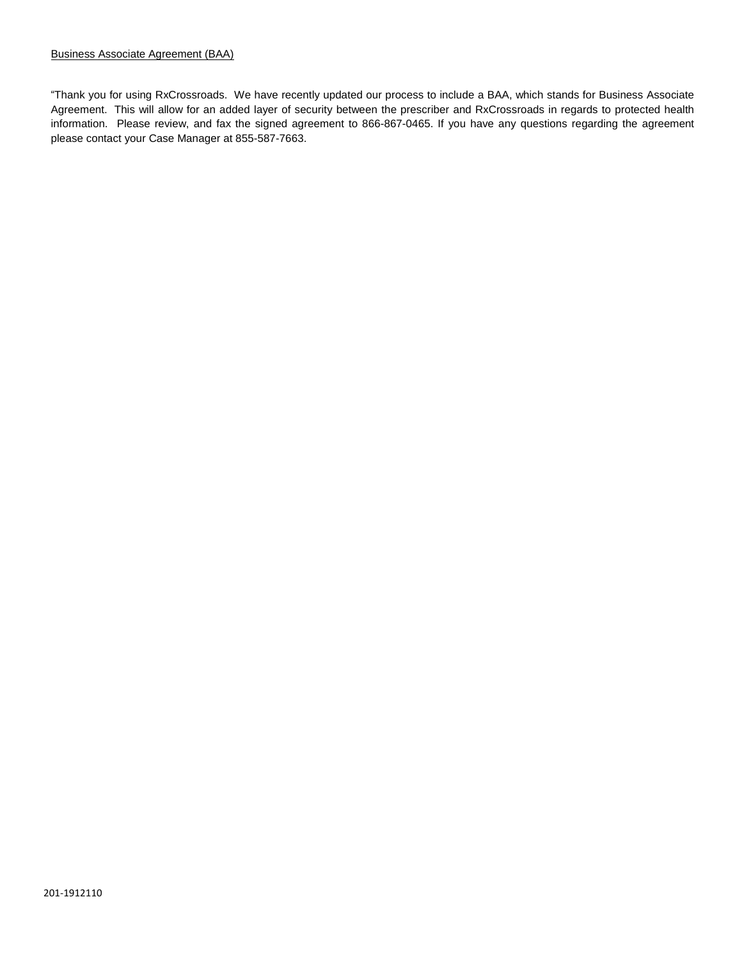"Thank you for using RxCrossroads. We have recently updated our process to include a BAA, which stands for Business Associate Agreement. This will allow for an added layer of security between the prescriber and RxCrossroads in regards to protected health information. Please review, and fax the signed agreement to 866-867-0465. If you have any questions regarding the agreement please contact your Case Manager at 855-587-7663.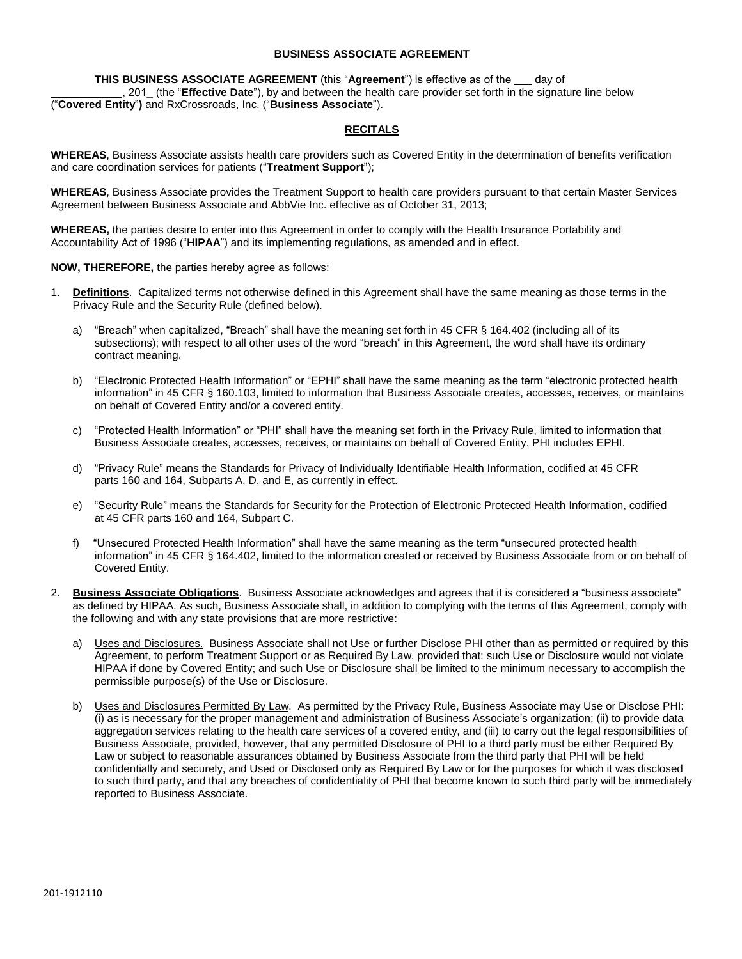## **BUSINESS ASSOCIATE AGREEMENT**

**THIS BUSINESS ASSOCIATE AGREEMENT** (this "Agreement") is effective as of the  $\_\_$  day of 201 (the "**Effective Date**"), by and between the health care provider set forth in the signature line below ("**Covered Entity**"**)** and RxCrossroads, Inc. ("**Business Associate**").

## **RECITALS**

**WHEREAS**, Business Associate assists health care providers such as Covered Entity in the determination of benefits verification and care coordination services for patients ("**Treatment Support**");

**WHEREAS**, Business Associate provides the Treatment Support to health care providers pursuant to that certain Master Services Agreement between Business Associate and AbbVie Inc. effective as of October 31, 2013;

**WHEREAS,** the parties desire to enter into this Agreement in order to comply with the Health Insurance Portability and Accountability Act of 1996 ("**HIPAA**") and its implementing regulations, as amended and in effect.

## **NOW, THEREFORE,** the parties hereby agree as follows:

- 1. **Definitions**. Capitalized terms not otherwise defined in this Agreement shall have the same meaning as those terms in the Privacy Rule and the Security Rule (defined below).
	- a) "Breach" when capitalized, "Breach" shall have the meaning set forth in 45 CFR § 164.402 (including all of its subsections); with respect to all other uses of the word "breach" in this Agreement, the word shall have its ordinary contract meaning.
	- b) "Electronic Protected Health Information" or "EPHI" shall have the same meaning as the term "electronic protected health information" in 45 CFR § 160.103, limited to information that Business Associate creates, accesses, receives, or maintains on behalf of Covered Entity and/or a covered entity.
	- c) "Protected Health Information" or "PHI" shall have the meaning set forth in the Privacy Rule, limited to information that Business Associate creates, accesses, receives, or maintains on behalf of Covered Entity. PHI includes EPHI.
	- d) "Privacy Rule" means the Standards for Privacy of Individually Identifiable Health Information, codified at 45 CFR parts 160 and 164, Subparts A, D, and E, as currently in effect.
	- e) "Security Rule" means the Standards for Security for the Protection of Electronic Protected Health Information, codified at 45 CFR parts 160 and 164, Subpart C.
	- f) "Unsecured Protected Health Information" shall have the same meaning as the term "unsecured protected health information" in 45 CFR § 164.402, limited to the information created or received by Business Associate from or on behalf of Covered Entity.
- 2. **Business Associate Obligations**. Business Associate acknowledges and agrees that it is considered a "business associate" as defined by HIPAA. As such, Business Associate shall, in addition to complying with the terms of this Agreement, comply with the following and with any state provisions that are more restrictive:
	- a) Uses and Disclosures. Business Associate shall not Use or further Disclose PHI other than as permitted or required by this Agreement, to perform Treatment Support or as Required By Law, provided that: such Use or Disclosure would not violate HIPAA if done by Covered Entity; and such Use or Disclosure shall be limited to the minimum necessary to accomplish the permissible purpose(s) of the Use or Disclosure.
	- b) Uses and Disclosures Permitted By Law. As permitted by the Privacy Rule, Business Associate may Use or Disclose PHI: (i) as is necessary for the proper management and administration of Business Associate's organization; (ii) to provide data aggregation services relating to the health care services of a covered entity, and (iii) to carry out the legal responsibilities of Business Associate, provided, however, that any permitted Disclosure of PHI to a third party must be either Required By Law or subject to reasonable assurances obtained by Business Associate from the third party that PHI will be held confidentially and securely, and Used or Disclosed only as Required By Law or for the purposes for which it was disclosed to such third party, and that any breaches of confidentiality of PHI that become known to such third party will be immediately reported to Business Associate.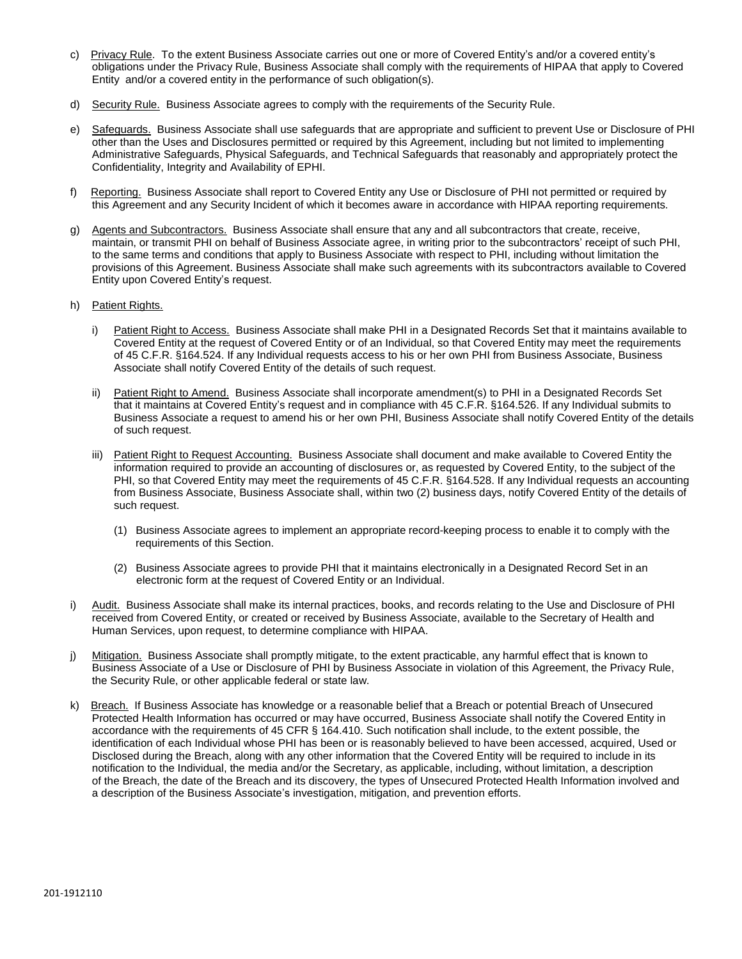- c) Privacy Rule. To the extent Business Associate carries out one or more of Covered Entity's and/or a covered entity's obligations under the Privacy Rule, Business Associate shall comply with the requirements of HIPAA that apply to Covered Entity and/or a covered entity in the performance of such obligation(s).
- d) Security Rule. Business Associate agrees to comply with the requirements of the Security Rule.
- e) Safeguards. Business Associate shall use safeguards that are appropriate and sufficient to prevent Use or Disclosure of PHI other than the Uses and Disclosures permitted or required by this Agreement, including but not limited to implementing Administrative Safeguards, Physical Safeguards, and Technical Safeguards that reasonably and appropriately protect the Confidentiality, Integrity and Availability of EPHI.
- f) Reporting. Business Associate shall report to Covered Entity any Use or Disclosure of PHI not permitted or required by this Agreement and any Security Incident of which it becomes aware in accordance with HIPAA reporting requirements.
- g) Agents and Subcontractors. Business Associate shall ensure that any and all subcontractors that create, receive, maintain, or transmit PHI on behalf of Business Associate agree, in writing prior to the subcontractors' receipt of such PHI, to the same terms and conditions that apply to Business Associate with respect to PHI, including without limitation the provisions of this Agreement. Business Associate shall make such agreements with its subcontractors available to Covered Entity upon Covered Entity's request.
- h) Patient Rights.
	- i) Patient Right to Access. Business Associate shall make PHI in a Designated Records Set that it maintains available to Covered Entity at the request of Covered Entity or of an Individual, so that Covered Entity may meet the requirements of 45 C.F.R. §164.524. If any Individual requests access to his or her own PHI from Business Associate, Business Associate shall notify Covered Entity of the details of such request.
	- ii) Patient Right to Amend. Business Associate shall incorporate amendment(s) to PHI in a Designated Records Set that it maintains at Covered Entity's request and in compliance with 45 C.F.R. §164.526. If any Individual submits to Business Associate a request to amend his or her own PHI, Business Associate shall notify Covered Entity of the details of such request.
	- iii) Patient Right to Request Accounting. Business Associate shall document and make available to Covered Entity the information required to provide an accounting of disclosures or, as requested by Covered Entity, to the subject of the PHI, so that Covered Entity may meet the requirements of 45 C.F.R. §164.528. If any Individual requests an accounting from Business Associate, Business Associate shall, within two (2) business days, notify Covered Entity of the details of such request.
		- (1) Business Associate agrees to implement an appropriate record-keeping process to enable it to comply with the requirements of this Section.
		- (2) Business Associate agrees to provide PHI that it maintains electronically in a Designated Record Set in an electronic form at the request of Covered Entity or an Individual.
- i) Audit. Business Associate shall make its internal practices, books, and records relating to the Use and Disclosure of PHI received from Covered Entity, or created or received by Business Associate, available to the Secretary of Health and Human Services, upon request, to determine compliance with HIPAA.
- j) Mitigation. Business Associate shall promptly mitigate, to the extent practicable, any harmful effect that is known to Business Associate of a Use or Disclosure of PHI by Business Associate in violation of this Agreement, the Privacy Rule, the Security Rule, or other applicable federal or state law.
- k) Breach. If Business Associate has knowledge or a reasonable belief that a Breach or potential Breach of Unsecured Protected Health Information has occurred or may have occurred, Business Associate shall notify the Covered Entity in accordance with the requirements of 45 CFR § 164.410. Such notification shall include, to the extent possible, the identification of each Individual whose PHI has been or is reasonably believed to have been accessed, acquired, Used or Disclosed during the Breach, along with any other information that the Covered Entity will be required to include in its notification to the Individual, the media and/or the Secretary, as applicable, including, without limitation, a description of the Breach, the date of the Breach and its discovery, the types of Unsecured Protected Health Information involved and a description of the Business Associate's investigation, mitigation, and prevention efforts.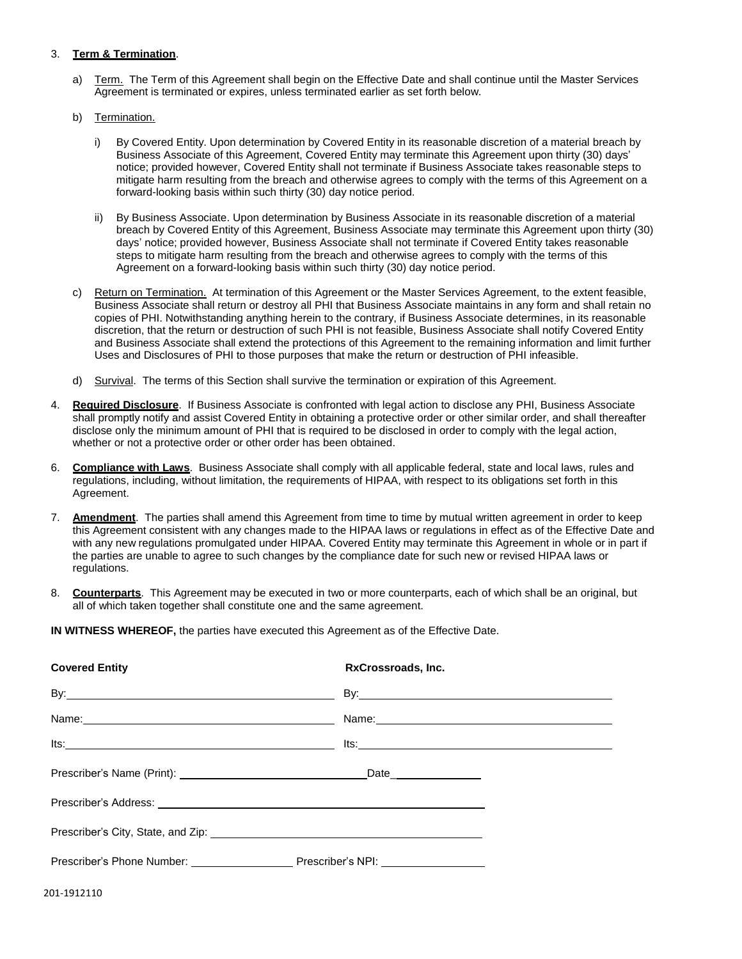## 3. **Term & Termination**.

- a) Term. The Term of this Agreement shall begin on the Effective Date and shall continue until the Master Services Agreement is terminated or expires, unless terminated earlier as set forth below.
- b) Termination.
	- i) By Covered Entity. Upon determination by Covered Entity in its reasonable discretion of a material breach by Business Associate of this Agreement, Covered Entity may terminate this Agreement upon thirty (30) days' notice; provided however, Covered Entity shall not terminate if Business Associate takes reasonable steps to mitigate harm resulting from the breach and otherwise agrees to comply with the terms of this Agreement on a forward-looking basis within such thirty (30) day notice period.
	- ii) By Business Associate. Upon determination by Business Associate in its reasonable discretion of a material breach by Covered Entity of this Agreement, Business Associate may terminate this Agreement upon thirty (30) days' notice; provided however, Business Associate shall not terminate if Covered Entity takes reasonable steps to mitigate harm resulting from the breach and otherwise agrees to comply with the terms of this Agreement on a forward-looking basis within such thirty (30) day notice period.
- c) Return on Termination. At termination of this Agreement or the Master Services Agreement, to the extent feasible, Business Associate shall return or destroy all PHI that Business Associate maintains in any form and shall retain no copies of PHI. Notwithstanding anything herein to the contrary, if Business Associate determines, in its reasonable discretion, that the return or destruction of such PHI is not feasible, Business Associate shall notify Covered Entity and Business Associate shall extend the protections of this Agreement to the remaining information and limit further Uses and Disclosures of PHI to those purposes that make the return or destruction of PHI infeasible.
- d) Survival. The terms of this Section shall survive the termination or expiration of this Agreement.
- 4. **Required Disclosure**. If Business Associate is confronted with legal action to disclose any PHI, Business Associate shall promptly notify and assist Covered Entity in obtaining a protective order or other similar order, and shall thereafter disclose only the minimum amount of PHI that is required to be disclosed in order to comply with the legal action, whether or not a protective order or other order has been obtained.
- 6. **Compliance with Laws**. Business Associate shall comply with all applicable federal, state and local laws, rules and regulations, including, without limitation, the requirements of HIPAA, with respect to its obligations set forth in this Agreement.
- 7. **Amendment**. The parties shall amend this Agreement from time to time by mutual written agreement in order to keep this Agreement consistent with any changes made to the HIPAA laws or regulations in effect as of the Effective Date and with any new regulations promulgated under HIPAA. Covered Entity may terminate this Agreement in whole or in part if the parties are unable to agree to such changes by the compliance date for such new or revised HIPAA laws or regulations.
- 8. **Counterparts**. This Agreement may be executed in two or more counterparts, each of which shall be an original, but all of which taken together shall constitute one and the same agreement.

**IN WITNESS WHEREOF,** the parties have executed this Agreement as of the Effective Date.

| <b>Covered Entity</b>                                                                   | RxCrossroads, Inc.                                                                                                                                                                                                                   |
|-----------------------------------------------------------------------------------------|--------------------------------------------------------------------------------------------------------------------------------------------------------------------------------------------------------------------------------------|
|                                                                                         | By: <u>the contract of the contract of the contract of the contract of the contract of the contract of the contract of the contract of the contract of the contract of the contract of the contract of the contract of the contr</u> |
|                                                                                         |                                                                                                                                                                                                                                      |
| Its.                                                                                    | $Its:\_$                                                                                                                                                                                                                             |
|                                                                                         |                                                                                                                                                                                                                                      |
|                                                                                         |                                                                                                                                                                                                                                      |
|                                                                                         |                                                                                                                                                                                                                                      |
| Prescriber's Phone Number: ________________________Prescriber's NPI: __________________ |                                                                                                                                                                                                                                      |